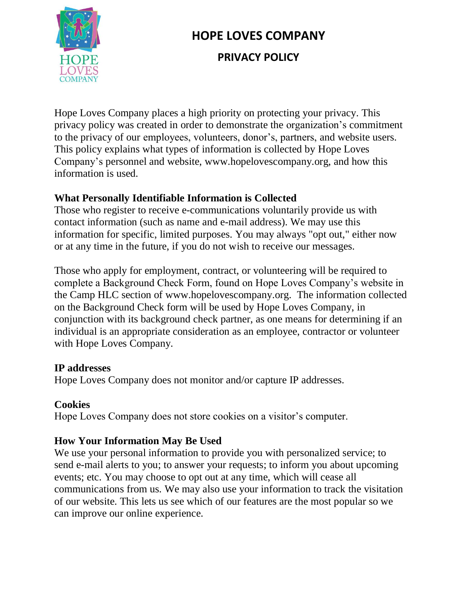

# **HOPE LOVES COMPANY PRIVACY POLICY**

Hope Loves Company places a high priority on protecting your privacy. This privacy policy was created in order to demonstrate the organization's commitment to the privacy of our employees, volunteers, donor's, partners, and website users. This policy explains what types of information is collected by Hope Loves Company's personnel and website, www.hopelovescompany.org, and how this information is used.

### **What Personally Identifiable Information is Collected**

Those who register to receive e-communications voluntarily provide us with contact information (such as name and e-mail address). We may use this information for specific, limited purposes. You may always "opt out," either now or at any time in the future, if you do not wish to receive our messages.

Those who apply for employment, contract, or volunteering will be required to complete a Background Check Form, found on Hope Loves Company's website in the Camp HLC section of www.hopelovescompany.org. The information collected on the Background Check form will be used by Hope Loves Company, in conjunction with its background check partner, as one means for determining if an individual is an appropriate consideration as an employee, contractor or volunteer with Hope Loves Company.

### **IP addresses**

Hope Loves Company does not monitor and/or capture IP addresses.

### **Cookies**

Hope Loves Company does not store cookies on a visitor's computer.

### **How Your Information May Be Used**

We use your personal information to provide you with personalized service; to send e-mail alerts to you; to answer your requests; to inform you about upcoming events; etc. You may choose to opt out at any time, which will cease all communications from us. We may also use your information to track the visitation of our website. This lets us see which of our features are the most popular so we can improve our online experience.